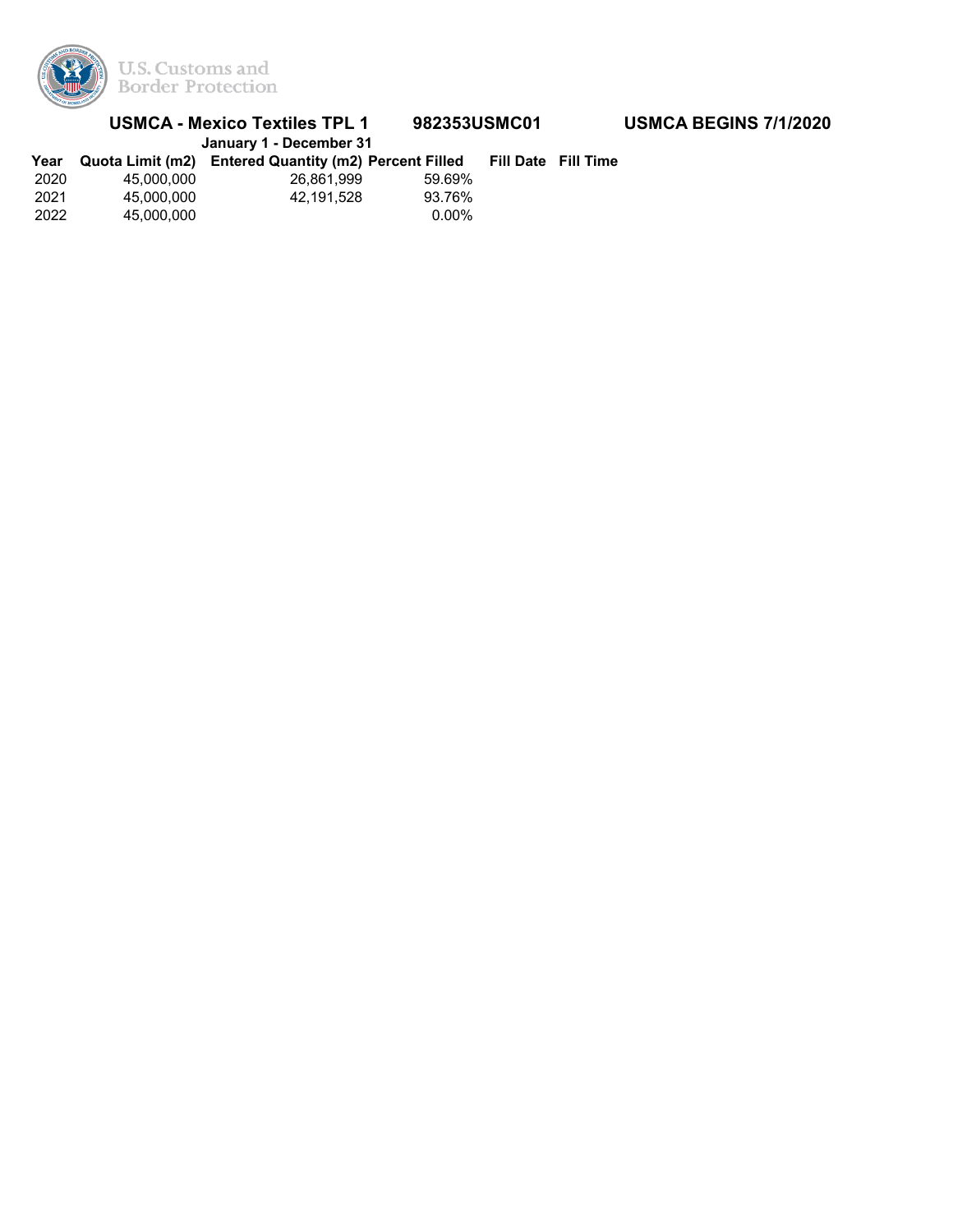

|      | <b>USMCA - Mexico Textiles TPL 1</b> | 982353USMC01<br>January 1 - December 31               |          | <b>USMCA BEGINS 7/1/2020</b> |  |
|------|--------------------------------------|-------------------------------------------------------|----------|------------------------------|--|
| Year |                                      | Quota Limit (m2) Entered Quantity (m2) Percent Filled |          | Fill Date Fill Time          |  |
| 2020 | 45.000.000                           | 26.861.999                                            | 59.69%   |                              |  |
| 2021 | 45.000.000                           | 42.191.528                                            | 93.76%   |                              |  |
| 2022 | 45.000.000                           |                                                       | $0.00\%$ |                              |  |
|      |                                      |                                                       |          |                              |  |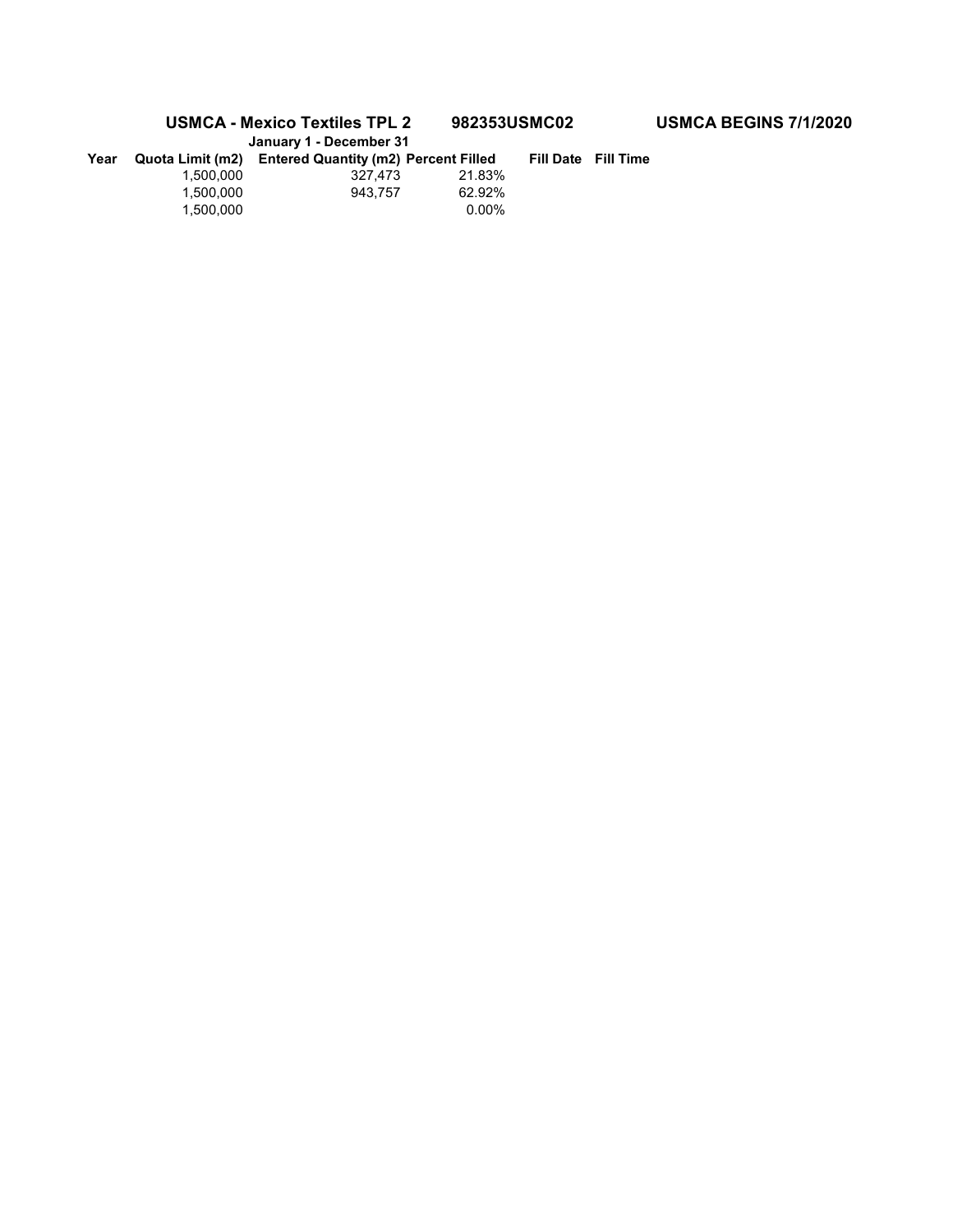## **USMCA - Mexico Textiles TPL 2 982353USMC02 USMCA BEGINS 7/1/2020**

|      | January 1 - December 31 |                                             |        |                            |
|------|-------------------------|---------------------------------------------|--------|----------------------------|
| Year | Quota Limit (m2)        | <b>Entered Quantity (m2) Percent Filled</b> |        | <b>Fill Date Fill Time</b> |
|      | 1.500.000               | 327.473                                     | 21.83% |                            |
|      | 1.500.000               | 943.757                                     | 62.92% |                            |
|      | 1.500.000               |                                             | 0.00%  |                            |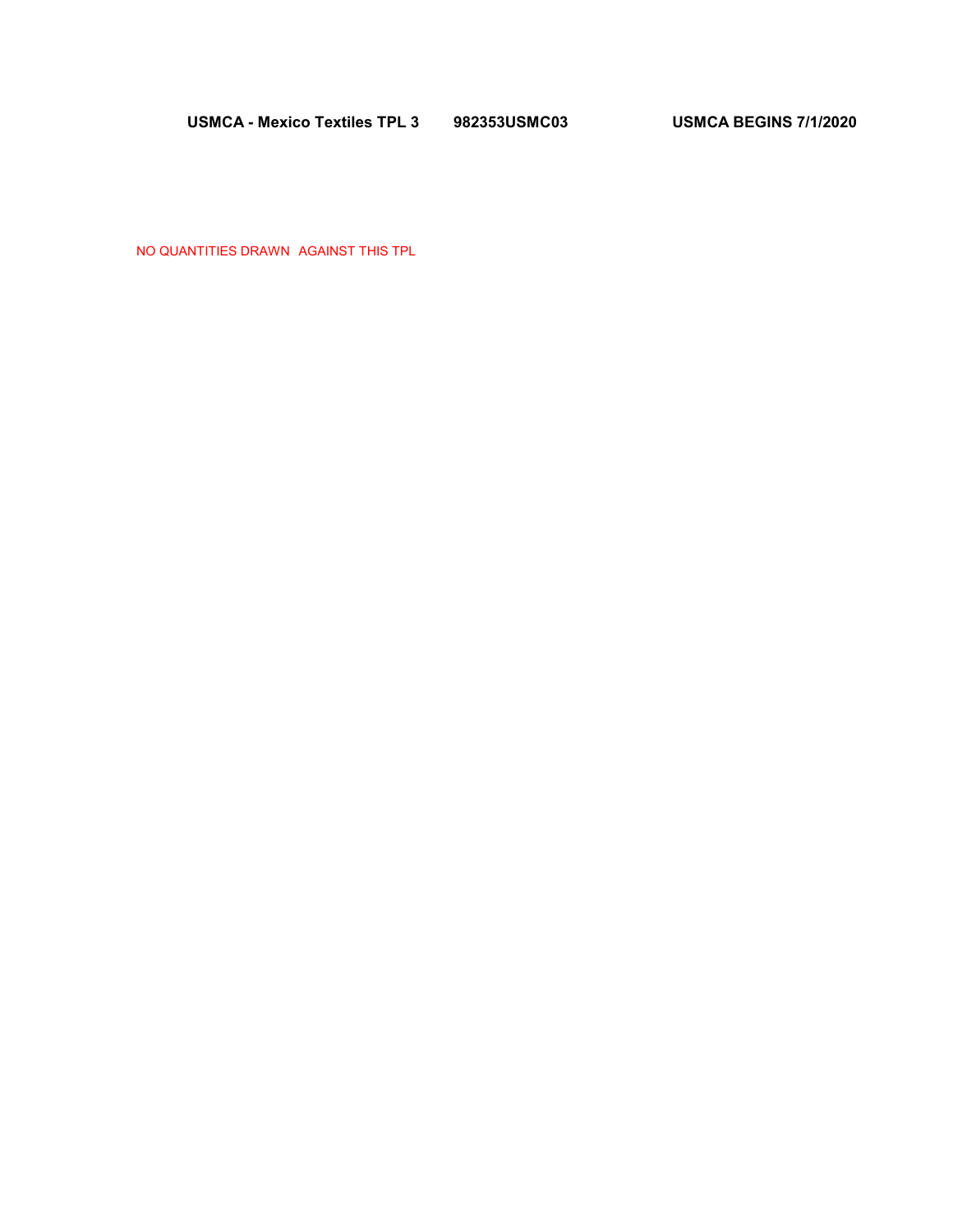**USMCA - Mexico Textiles TPL 3 982353USMC03 USMCA BEGINS 7/1/2020** 

NO QUANTITIES DRAWN AGAINST THIS TPL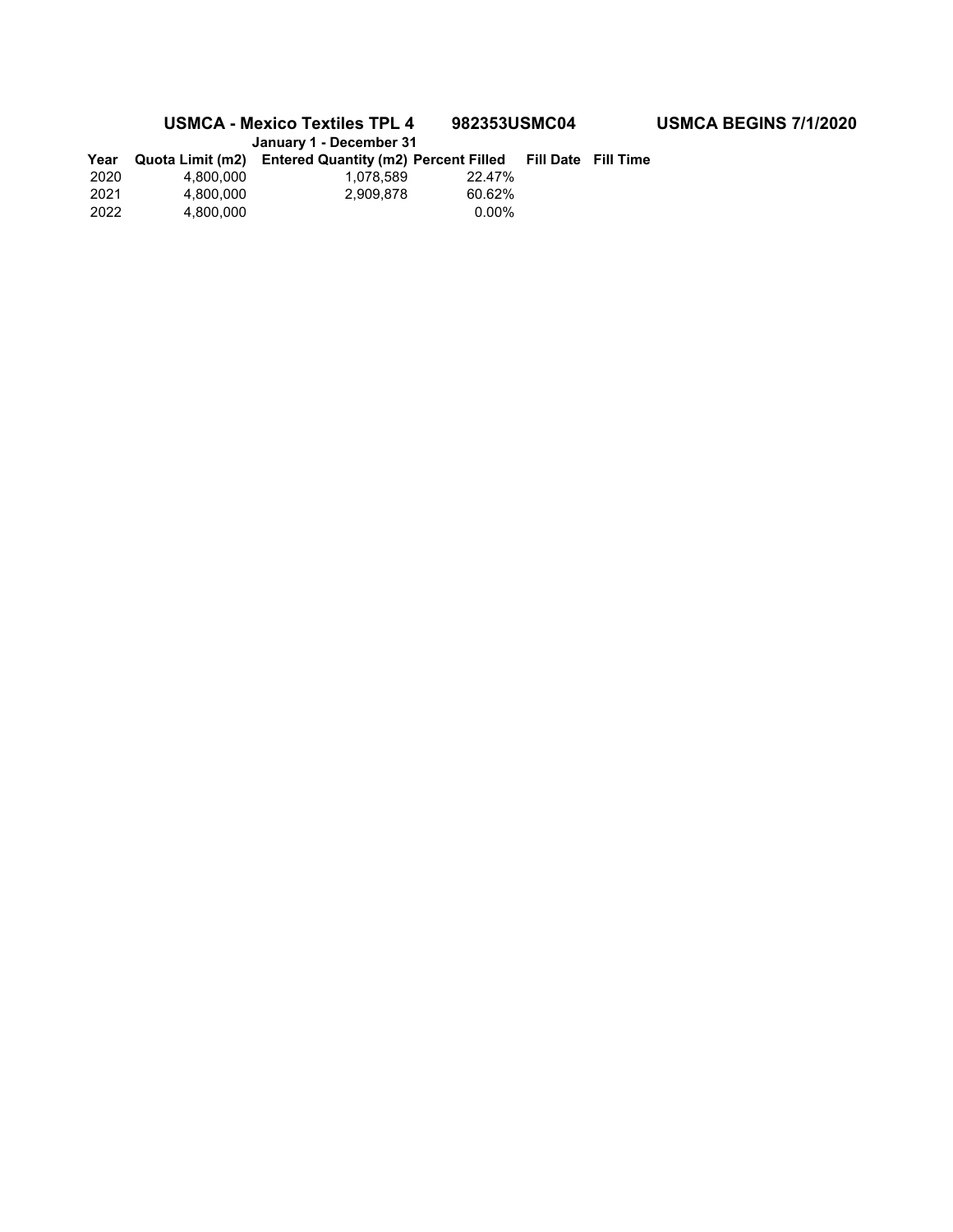**USMCA - Mexico Textiles TPL 4 982353USMC04 USMCA BEGINS 7/1/2020 January 1 - December 31** 

| Year |           | <b>UGHUGHY I - DUUGHINGI UT</b><br>Quota Limit (m2) Entered Quantity (m2) Percent Filled |          | <b>Fill Date Fill Time</b> |  |
|------|-----------|------------------------------------------------------------------------------------------|----------|----------------------------|--|
| 2020 | 4.800.000 | 1.078.589                                                                                | 22.47%   |                            |  |
| 2021 | 4.800.000 | 2.909.878                                                                                | 60.62%   |                            |  |
| 2022 | 4.800.000 |                                                                                          | $0.00\%$ |                            |  |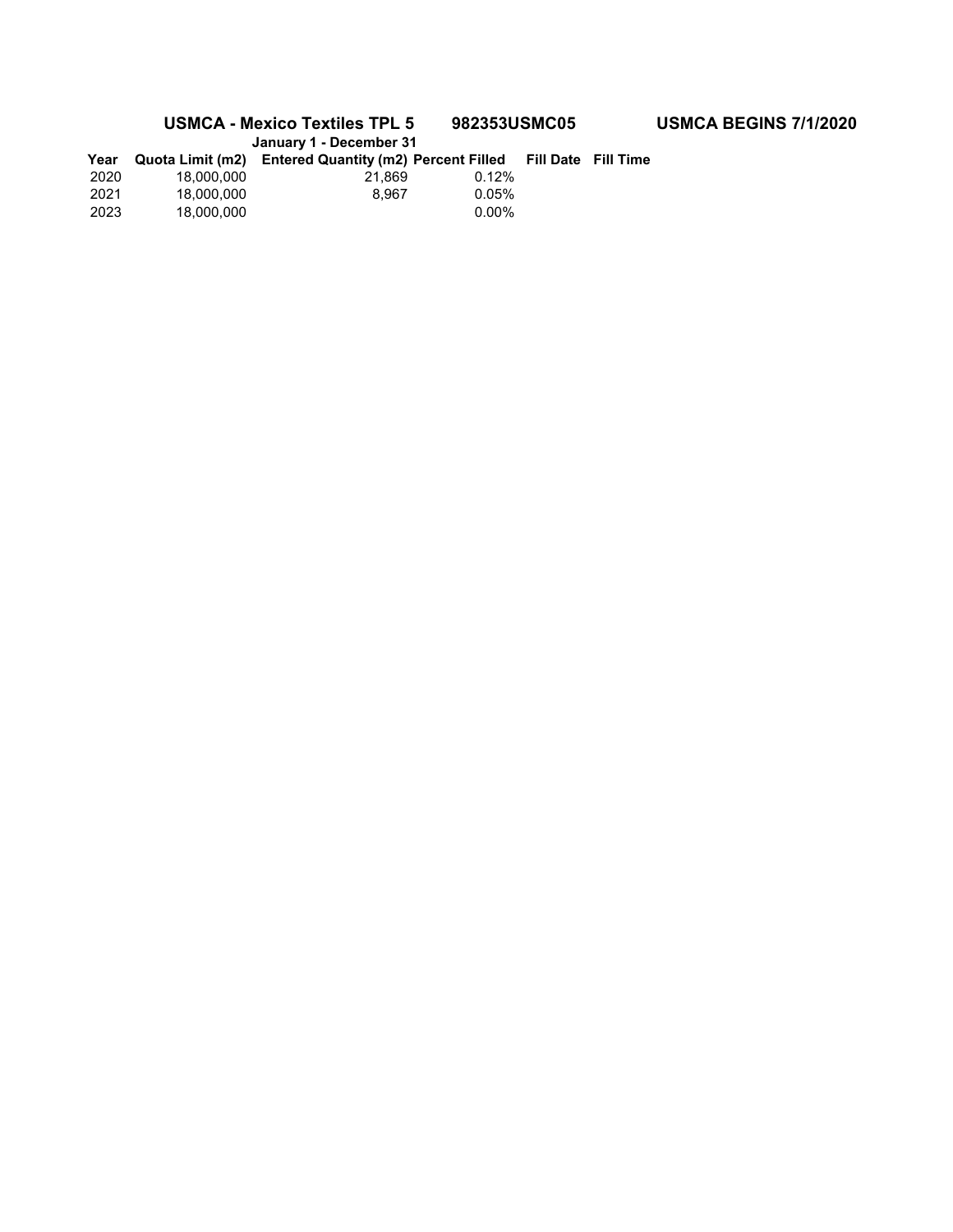**USMCA - Mexico Textiles TPL 5 982353USMC05 USMCA BEGINS 7/1/2020 January 1 - December 31** 

| <b>January 1 - Deceniber 31</b> |            |                                                       |          |                            |  |  |
|---------------------------------|------------|-------------------------------------------------------|----------|----------------------------|--|--|
| Year                            |            | Quota Limit (m2) Entered Quantity (m2) Percent Filled |          | <b>Fill Date Fill Time</b> |  |  |
| 2020                            | 18.000.000 | 21.869                                                | 0.12%    |                            |  |  |
| 2021                            | 18.000.000 | 8.967                                                 | 0.05%    |                            |  |  |
| 2023                            | 18.000.000 |                                                       | $0.00\%$ |                            |  |  |